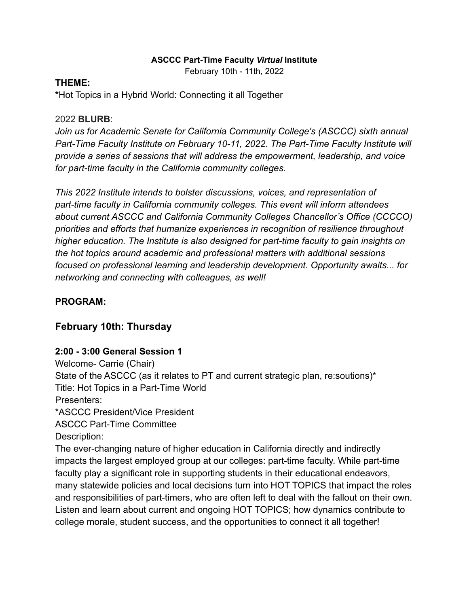#### **ASCCC Part-Time Faculty** *Virtual* **Institute**

February 10th - 11th, 2022

#### **THEME:**

**\***Hot Topics in a Hybrid World: Connecting it all Together

#### 2022 **BLURB**:

*Join us for Academic Senate for California Community College's (ASCCC) sixth annual Part-Time Faculty Institute on February 10-11, 2022. The Part-Time Faculty Institute will provide a series of sessions that will address the empowerment, leadership, and voice for part-time faculty in the California community colleges.*

*This 2022 Institute intends to bolster discussions, voices, and representation of part-time faculty in California community colleges. This event will inform attendees about current ASCCC and California Community Colleges Chancellor's Office (CCCCO) priorities and efforts that humanize experiences in recognition of resilience throughout higher education. The Institute is also designed for part-time faculty to gain insights on the hot topics around academic and professional matters with additional sessions focused on professional learning and leadership development. Opportunity awaits... for networking and connecting with colleagues, as well!*

### **PROGRAM:**

## **February 10th: Thursday**

#### **2:00 - 3:00 General Session 1**

Welcome- Carrie (Chair) State of the ASCCC (as it relates to PT and current strategic plan, re:soutions)\* Title: Hot Topics in a Part-Time World Presenters: \*ASCCC President/Vice President ASCCC Part-Time Committee Description: The ever-changing nature of higher education in California directly and indirectly

impacts the largest employed group at our colleges: part-time faculty. While part-time faculty play a significant role in supporting students in their educational endeavors, many statewide policies and local decisions turn into HOT TOPICS that impact the roles and responsibilities of part-timers, who are often left to deal with the fallout on their own. Listen and learn about current and ongoing HOT TOPICS; how dynamics contribute to college morale, student success, and the opportunities to connect it all together!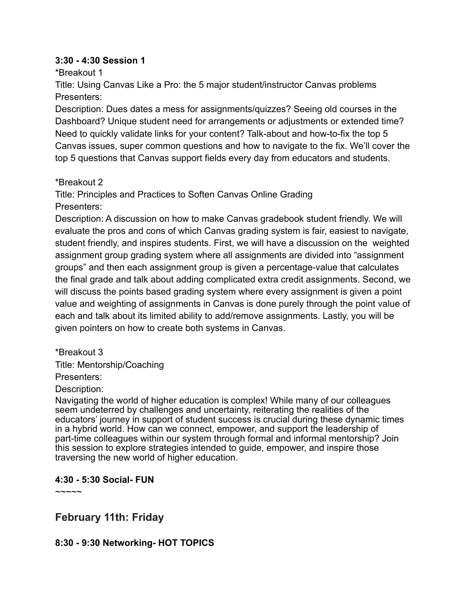#### **3:30 - 4:30 Session 1**

\*Breakout 1

Title: Using Canvas Like a Pro: the 5 major student/instructor Canvas problems Presenters:

Description: Dues dates a mess for assignments/quizzes? Seeing old courses in the Dashboard? Unique student need for arrangements or adjustments or extended time? Need to quickly validate links for your content? Talk-about and how-to-fix the top 5 Canvas issues, super common questions and how to navigate to the fix. We'll cover the top 5 questions that Canvas support fields every day from educators and students.

\*Breakout 2

Title: Principles and Practices to Soften Canvas Online Grading Presenters:

Description: A discussion on how to make Canvas gradebook student friendly. We will evaluate the pros and cons of which Canvas grading system is fair, easiest to navigate, student friendly, and inspires students. First, we will have a discussion on the weighted assignment group grading system where all assignments are divided into "assignment groups" and then each assignment group is given a percentage-value that calculates the final grade and talk about adding complicated extra credit assignments. Second, we will discuss the points based grading system where every assignment is given a point value and weighting of assignments in Canvas is done purely through the point value of each and talk about its limited ability to add/remove assignments. Lastly, you will be given pointers on how to create both systems in Canvas.

\*Breakout 3

Title: Mentorship/Coaching

Presenters:

Description:

Navigating the world of higher education is complex! While many of our colleagues seem undeterred by challenges and uncertainty, reiterating the realities of the educators' journey in support of student success is crucial during these dynamic times in a hybrid world. How can we connect, empower, and support the leadership of part-time colleagues within our system through formal and informal mentorship? Join this session to explore strategies intended to guide, empower, and inspire those traversing the new world of higher education.

## **4:30 - 5:30 Social- FUN**

 $\sim\sim\sim\sim$ 

**February 11th: Friday**

## **8:30 - 9:30 Networking- HOT TOPICS**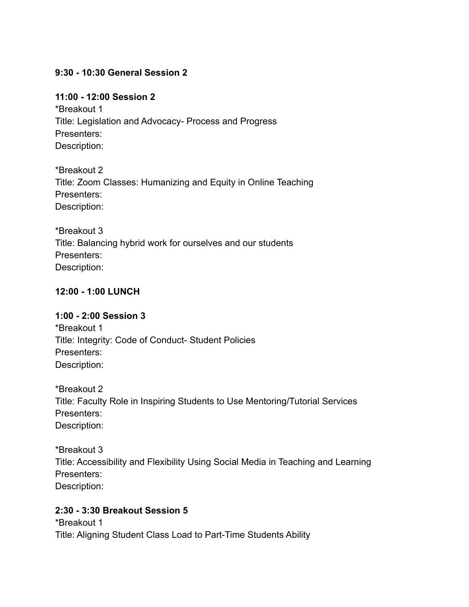## **9:30 - 10:30 General Session 2**

## **11:00 - 12:00 Session 2**

\*Breakout 1 Title: Legislation and Advocacy- Process and Progress Presenters: Description:

\*Breakout 2 Title: Zoom Classes: Humanizing and Equity in Online Teaching Presenters: Description:

\*Breakout 3 Title: Balancing hybrid work for ourselves and our students Presenters: Description:

## **12:00 - 1:00 LUNCH**

## **1:00 - 2:00 Session 3**

\*Breakout 1 Title: Integrity: Code of Conduct- Student Policies Presenters: Description:

\*Breakout 2 Title: Faculty Role in Inspiring Students to Use Mentoring/Tutorial Services Presenters: Description:

\*Breakout 3 Title: Accessibility and Flexibility Using Social Media in Teaching and Learning Presenters: Description:

## **2:30 - 3:30 Breakout Session 5**

\*Breakout 1 Title: Aligning Student Class Load to Part-Time Students Ability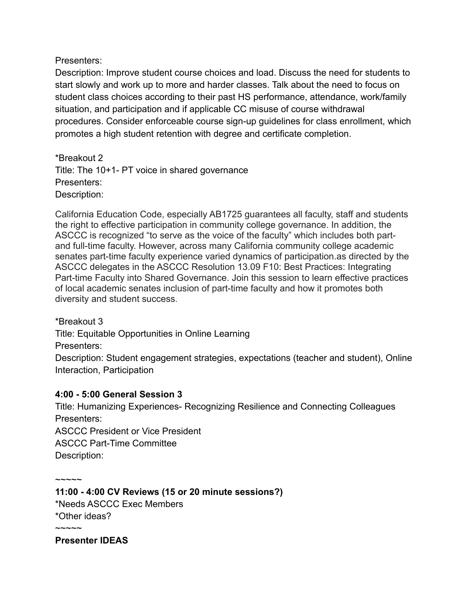Presenters:

Description: Improve student course choices and load. Discuss the need for students to start slowly and work up to more and harder classes. Talk about the need to focus on student class choices according to their past HS performance, attendance, work/family situation, and participation and if applicable CC misuse of course withdrawal procedures. Consider enforceable course sign-up guidelines for class enrollment, which promotes a high student retention with degree and certificate completion.

\*Breakout 2 Title: The 10+1- PT voice in shared governance Presenters: Description:

California Education Code, especially AB1725 guarantees all faculty, staff and students the right to effective participation in community college governance. In addition, the ASCCC is recognized "to serve as the voice of the faculty" which includes both partand full-time faculty. However, across many California community college academic senates part-time faculty experience varied dynamics of participation.as directed by the ASCCC delegates in the ASCCC Resolution 13.09 F10: Best Practices: Integrating Part-time Faculty into Shared Governance. Join this session to learn effective practices of local academic senates inclusion of part-time faculty and how it promotes both diversity and student success.

\*Breakout 3

Title: Equitable Opportunities in Online Learning

Presenters:

Description: Student engagement strategies, expectations (teacher and student), Online Interaction, Participation

# **4:00 - 5:00 General Session 3**

Title: Humanizing Experiences- Recognizing Resilience and Connecting Colleagues Presenters:

ASCCC President or Vice President ASCCC Part-Time Committee Description:

 $\sim$  $\sim$  $\sim$  $\sim$ **11:00 - 4:00 CV Reviews (15 or 20 minute sessions?)** \*Needs ASCCC Exec Members \*Other ideas?  $\sim\sim\sim\sim$ 

**Presenter IDEAS**